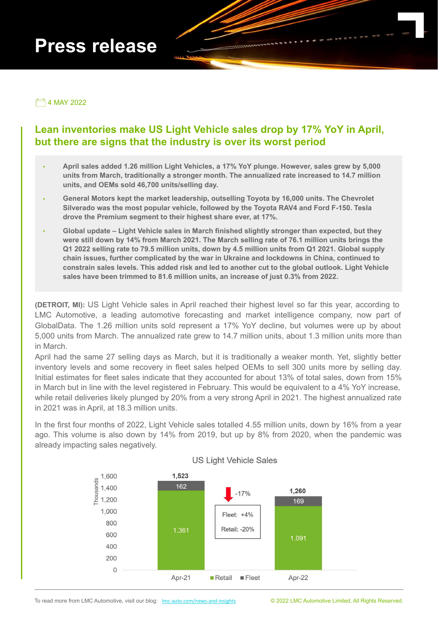# **Press release**

 $\Box$  4 MAY 2022

## **Lean inventories make US Light Vehicle sales drop by 17% YoY in April, but there are signs that the industry is over its worst period**

- ∙ **April sales added 1.26 million Light Vehicles, a 17% YoY plunge. However, sales grew by 5,000 units from March, traditionally a stronger month. The annualized rate increased to 14.7 million units, and OEMs sold 46,700 units/selling day.**
- ∙ **General Motors kept the market leadership, outselling Toyota by 16,000 units. The Chevrolet Silverado was the most popular vehicle, followed by the Toyota RAV4 and Ford F-150. Tesla drove the Premium segment to their highest share ever, at 17%.**
- ∙ **Global update Light Vehicle sales in March finished slightly stronger than expected, but they were still down by 14% from March 2021. The March selling rate of 76.1 million units brings the Q1 2022 selling rate to 79.5 million units, down by 4.5 million units from Q1 2021. Global supply chain issues, further complicated by the war in Ukraine and lockdowns in China, continued to constrain sales levels. This added risk and led to another cut to the global outlook. Light Vehicle sales have been trimmed to 81.6 million units, an increase of just 0.3% from 2022.**

**(DETROIT, MI):** US Light Vehicle sales in April reached their highest level so far this year, according to LMC Automotive, a leading automotive forecasting and market intelligence company, now part of GlobalData. The 1.26 million units sold represent a 17% YoY decline, but volumes were up by about 5,000 units from March. The annualized rate grew to 14.7 million units, about 1.3 million units more than in March.

April had the same 27 selling days as March, but it is traditionally a weaker month. Yet, slightly better inventory levels and some recovery in fleet sales helped OEMs to sell 300 units more by selling day. Initial estimates for fleet sales indicate that they accounted for about 13% of total sales, down from 15% in March but in line with the level registered in February. This would be equivalent to a 4% YoY increase, while retail deliveries likely plunged by 20% from a very strong April in 2021. The highest annualized rate in 2021 was in April, at 18.3 million units.

In the first four months of 2022, Light Vehicle sales totalled 4.55 million units, down by 16% from a year ago. This volume is also down by 14% from 2019, but up by 8% from 2020, when the pandemic was already impacting sales negatively.



### **US Light Vehicle Sales**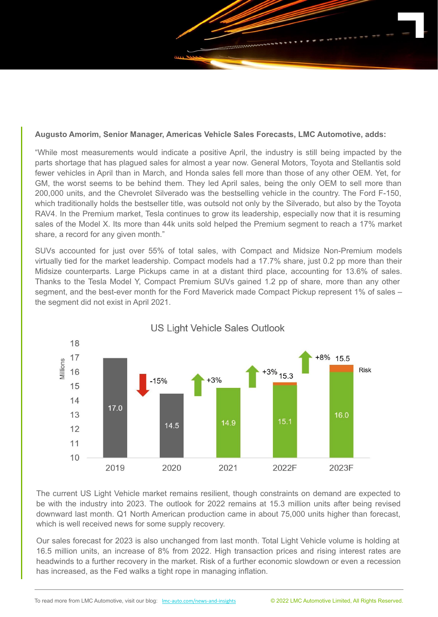

"While most measurements would indicate a positive April, the industry is still being impacted by the parts shortage that has plagued sales for almost a year now. General Motors, Toyota and Stellantis sold fewer vehicles in April than in March, and Honda sales fell more than those of any other OEM. Yet, for GM, the worst seems to be behind them. They led April sales, being the only OEM to sell more than 200,000 units, and the Chevrolet Silverado was the bestselling vehicle in the country. The Ford F-150, which traditionally holds the bestseller title, was outsold not only by the Silverado, but also by the Toyota RAV4. In the Premium market, Tesla continues to grow its leadership, especially now that it is resuming sales of the Model X. Its more than 44k units sold helped the Premium segment to reach a 17% market share, a record for any given month."

SUVs accounted for just over 55% of total sales, with Compact and Midsize Non-Premium models virtually tied for the market leadership. Compact models had a 17.7% share, just 0.2 pp more than their Midsize counterparts. Large Pickups came in at a distant third place, accounting for 13.6% of sales. Thanks to the Tesla Model Y, Compact Premium SUVs gained 1.2 pp of share, more than any other segment, and the best-ever month for the Ford Maverick made Compact Pickup represent 1% of sales – the segment did not exist in April 2021.



## **US Light Vehicle Sales Outlook**

The current US Light Vehicle market remains resilient, though constraints on demand are expected to be with the industry into 2023. The outlook for 2022 remains at 15.3 million units after being revised downward last month. Q1 North American production came in about 75,000 units higher than forecast, which is well received news for some supply recovery.

Our sales forecast for 2023 is also unchanged from last month. Total Light Vehicle volume is holding at 16.5 million units, an increase of 8% from 2022. High transaction prices and rising interest rates are headwinds to a further recovery in the market. Risk of a further economic slowdown or even a recession has increased, as the Fed walks a tight rope in managing inflation.